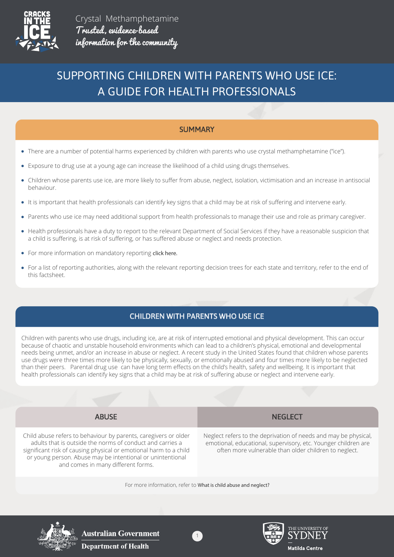

# SUPPORTING CHILDREN WITH PARENTS WHO USE ICE: A GUIDE FOR HEALTH PROFESSIONALS

#### **SUMMARY**

- There are a number of potential harms experienced by children with parents who use crystal methamphetamine ("ice").
- Exposure to drug use at a young age can increase the likelihood of a child using drugs themselves.
- Children whose parents use ice, are more likely to suffer from abuse, neglect, isolation, victimisation and an increase in antisocial behaviour.
- It is important that health professionals can identify key signs that a child may be at risk of suffering and intervene early.
- Parents who use ice may need additional support from health professionals to manage their use and role as primary caregiver.
- Health professionals have a duty to report to the relevant Department of Social Services if they have a reasonable suspicion that a child is suffering, is at risk of suffering, or has suffered abuse or neglect and needs protection.
- For more information on mandatory reporting **[click here.](https://aifs.gov.au/cfca/publications/mandatory-reporting-child-abuse-and-neglect)**
- For a list of reporting authorities, along with the relevant reporting decision trees for each state and territory, refer to the end of this factsheet.

# CHILDREN WITH PARENTS WHO USE ICE

Children with parents who use drugs, including ice, are at risk of interrupted emotional and physical development. This can occur because of chaotic and unstable household environments which can lead to a children's physical, emotional and developmental needs being unmet, and/or an increase in abuse or neglect. A recent study in the United States found that children whose parents use drugs were three times more likely to be physically, sexually, or emotionally abused and four times more likely to be neglected than their peers. Parental drug use can have long term effects on the child's health, safety and wellbeing. It is important that health professionals can identify key signs that a child may be at risk of suffering abuse or neglect and intervene early.

Child abuse refers to behaviour by parents, caregivers or older adults that is outside the norms of conduct and carries a significant risk of causing physical or emotional harm to a child or young person. Abuse may be intentional or unintentional and comes in many different forms.

ABUSE NEGLECT AND A SERVICE OF THE SERVICE OF THE SERVICE OF THE SERVICE OF THE SERVICE OF THE SERVICE OF THE

Neglect refers to the deprivation of needs and may be physical, emotional, educational, supervisory, etc. Younger children are often more vulnerable than older children to neglect.

For more information, refer to **[What is child abuse and neglect?](https://aifs.gov.au/cfca/publications/what-child-abuse-and-neglect)**





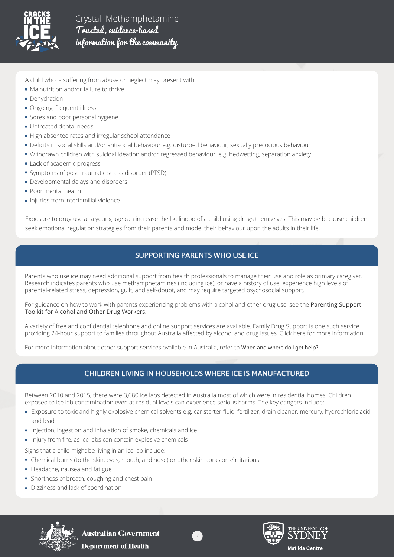

A child who is suffering from abuse or neglect may present with:

- Malnutrition and/or failure to thrive
- Dehydration
- Ongoing, frequent illness
- Sores and poor personal hygiene
- Untreated dental needs
- High absentee rates and irregular school attendance
- Deficits in social skills and/or antisocial behaviour e.g. disturbed behaviour, sexually precocious behaviour
- Withdrawn children with suicidal ideation and/or regressed behaviour, e.g. bedwetting, separation anxiety
- Lack of academic progress
- Symptoms of post-traumatic stress disorder (PTSD)
- Developmental delays and disorders
- Poor mental health
- Injuries from interfamilial violence

Exposure to drug use at a young age can increase the likelihood of a child using drugs themselves. This may be because children seek emotional regulation strategies from their parents and model their behaviour upon the adults in their life.

# SUPPORTING PARENTS WHO USE ICE

Parents who use ice may need additional support from health professionals to manage their use and role as primary caregiver. Research indicates parents who use methamphetamines (including ice), or have a history of use, experience high levels of parental-related stress, depression, guilt, and self-doubt, and may require targeted psychosocial support.

[For guidance on how to work with parents experiencing problems with alcohol and other drug use, see the](https://www2.health.vic.gov.au/about/publications/ResearchAndReports/Parenting%20support%20toolkit%20-%20Quick%20reference%20card) Parenting Support Toolkit for Alcohol and Other Drug Workers.

A variety of free and confidential telephone and online support services are available. Family Drug Support is one such service providing 24-hour support to families throughout Australia affected by alcohol and drug issues[. Click here for more information.](https://fds.org.au/)

For more information about other support services available in Australia, refer to **[When and where do I get help?](https://cracksintheice.org.au/when-and-where-do-i-get-help)**

### CHILDREN LIVING IN HOUSEHOLDS WHERE ICE IS MANUFACTURED

Between 2010 and 2015, there were 3,680 ice labs detected in Australia most of which were in residential homes. Children exposed to ice lab contamination even at residual levels can experience serious harms. The key dangers include:

- Exposure to toxic and highly explosive chemical solvents e.g. car starter fluid, fertilizer, drain cleaner, mercury, hydrochloric acid and lead
- Injection, ingestion and inhalation of smoke, chemicals and ice
- Injury from fire, as ice labs can contain explosive chemicals

Signs that a child might be living in an ice lab include:

- Chemical burns (to the skin, eyes, mouth, and nose) or other skin abrasions/irritations
- Headache, nausea and fatigue
- Shortness of breath, coughing and chest pain
- Dizziness and lack of coordination





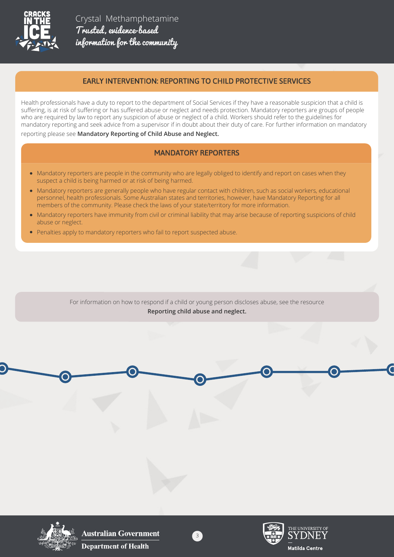

# EARLY INTERVENTION: REPORTING TO CHILD PROTECTIVE SERVICES

Health professionals have a duty to report to the department of Social Services if they have a reasonable suspicion that a child is suffering, is at risk of suffering or has suffered abuse or neglect and needs protection. Mandatory reporters are groups of people who are required by law to report any suspicion of abuse or neglect of a child. Workers should refer to the guidelines for mandatory reporting and seek advice from a supervisor if in doubt about their duty of care. For further information on mandatory reporting please see **[Mandatory Reporting of Child Abuse and Neglect.](https://aifs.gov.au/cfca/publications/mandatory-reporting-child-abuse-and-neglect)**

#### MANDATORY REPORTERS

- Mandatory reporters are people in the community who are legally obliged to identify and report on cases when they suspect a child is being harmed or at risk of being harmed.
- Mandatory reporters are generally people who have regular contact with children, such as social workers, educational personnel, health professionals. Some Australian states and territories, however, have Mandatory Reporting for all members of the community. Please check the laws of your state/territory for more information.
- Mandatory reporters have immunity from civil or criminal liability that may arise because of reporting suspicions of child abuse or neglect.
- Penalties apply to mandatory reporters who fail to report suspected abuse.

For information on how to respond if a child or young person discloses abuse, see the resource **[Reporting child abuse and neglect.](https://aifs.gov.au/cfca/publications/responding-children-and-young-people-s-disclosures-abu)**





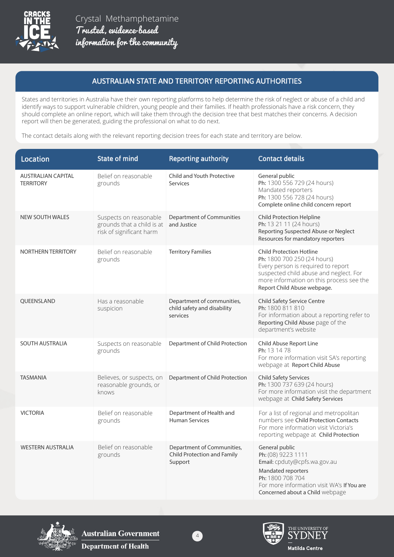

# AUSTRALIAN STATE AND TERRITORY REPORTING AUTHORITIES

States and territories in Australia have their own reporting platforms to help determine the risk of neglect or abuse of a child and identify ways to support vulnerable children, young people and their families. If health professionals have a risk concern, they should complete an online report, which will take them through the decision tree that best matches their concerns. A decision report will then be generated, guiding the professional on what to do next.

The contact details along with the relevant reporting decision trees for each state and territory are below.

| Location                                      | <b>State of mind</b>                                                             | <b>Reporting authority</b>                                            | <b>Contact details</b>                                                                                                                                                                                                    |
|-----------------------------------------------|----------------------------------------------------------------------------------|-----------------------------------------------------------------------|---------------------------------------------------------------------------------------------------------------------------------------------------------------------------------------------------------------------------|
| <b>AUSTRALIAN CAPITAL</b><br><b>TERRITORY</b> | Belief on reasonable<br>grounds                                                  | <b>Child and Youth Protective</b><br>Services                         | General public<br>Ph: 1300 556 729 (24 hours)<br>Mandated reporters<br>Ph: 1300 556 728 (24 hours)<br>Complete online child concern report                                                                                |
| <b>NEW SOUTH WALES</b>                        | Suspects on reasonable<br>grounds that a child is at<br>risk of significant harm | <b>Department of Communities</b><br>and Justice                       | <b>Child Protection Helpline</b><br>Ph: 13 21 11 (24 hours)<br>Reporting Suspected Abuse or Neglect<br>Resources for mandatory reporters                                                                                  |
| <b>NORTHERN TERRITORY</b>                     | Belief on reasonable<br>grounds                                                  | <b>Territory Families</b>                                             | <b>Child Protection Hotline</b><br>Ph: 1800 700 250 (24 hours)<br>Every person is required to report<br>suspected child abuse and neglect. For<br>more information on this process see the<br>Report Child Abuse webpage. |
| <b>OUEENSLAND</b>                             | Has a reasonable<br>suspicion                                                    | Department of communities,<br>child safety and disability<br>services | <b>Child Safety Service Centre</b><br>Ph: 1800 811 810<br>For information about a reporting refer to<br>Reporting Child Abuse page of the<br>department's website                                                         |
| <b>SOUTH AUSTRALIA</b>                        | Suspects on reasonable<br>grounds                                                | Department of Child Protection                                        | Child Abuse Report Line<br>Ph: 13 14 78<br>For more information visit SA's reporting<br>webpage at Report Child Abuse                                                                                                     |
| <b>TASMANIA</b>                               | Believes, or suspects, on<br>reasonable grounds, or<br>knows                     | Department of Child Protection                                        | <b>Child Safety Services</b><br>Ph: 1300 737 639 (24 hours)<br>For more information visit the department<br>webpage at Child Safety Services                                                                              |
| <b>VICTORIA</b>                               | Belief on reasonable<br>grounds                                                  | Department of Health and<br><b>Human Services</b>                     | For a list of regional and metropolitan<br>numbers see Child Protection Contacts<br>For more information visit Victoria's<br>reporting webpage at Child Protection                                                        |
| <b>WESTERN AUSTRALIA</b>                      | Belief on reasonable<br>grounds                                                  | Department of Communities,<br>Child Protection and Family<br>Support  | General public<br>Ph: (08) 9223 1111<br>Email: cpduty@cpfs.wa.gov.au<br>Mandated reporters<br>Ph: 1800 708 704<br>For more information visit WA's If You are<br>Concerned about a Child webpage                           |



**Australian Government Department of Health** 

4